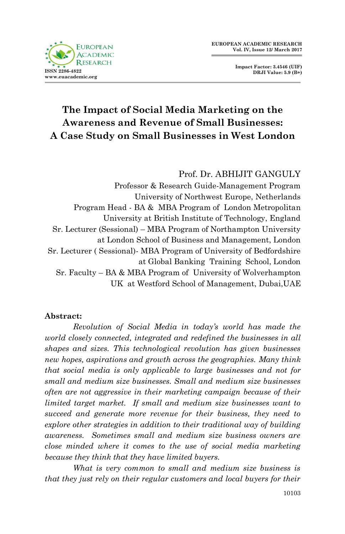

**Impact Factor: 3.4546 (UIF) DRJI Value: 5.9 (B+)**

# **The Impact of Social Media Marketing on the Awareness and Revenue of Small Businesses: A Case Study on Small Businesses in West London**

## Prof. Dr. ABHIJIT GANGULY Professor & Research Guide-Management Program University of Northwest Europe, Netherlands Program Head - BA & MBA Program of London Metropolitan University at British Institute of Technology, England Sr. Lecturer (Sessional) – MBA Program of Northampton University at London School of Business and Management, London Sr. Lecturer ( Sessional)- MBA Program of University of Bedfordshire at Global Banking Training School, London Sr. Faculty – BA & MBA Program of University of Wolverhampton UK at Westford School of Management, Dubai,UAE

#### **Abstract:**

*Revolution of Social Media in today's world has made the world closely connected, integrated and redefined the businesses in all shapes and sizes. This technological revolution has given businesses new hopes, aspirations and growth across the geographies. Many think that social media is only applicable to large businesses and not for small and medium size businesses. Small and medium size businesses often are not aggressive in their marketing campaign because of their limited target market. If small and medium size businesses want to succeed and generate more revenue for their business, they need to explore other strategies in addition to their traditional way of building awareness. Sometimes small and medium size business owners are close minded where it comes to the use of social media marketing because they think that they have limited buyers.* 

*What is very common to small and medium size business is that they just rely on their regular customers and local buyers for their*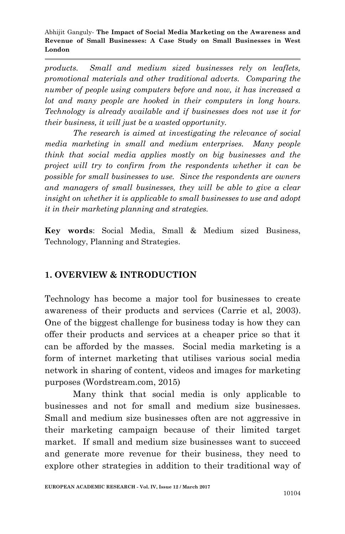*products. Small and medium sized businesses rely on leaflets, promotional materials and other traditional adverts. Comparing the number of people using computers before and now, it has increased a lot and many people are hooked in their computers in long hours. Technology is already available and if businesses does not use it for their business, it will just be a wasted opportunity.* 

*The research is aimed at investigating the relevance of social media marketing in small and medium enterprises. Many people think that social media applies mostly on big businesses and the project will try to confirm from the respondents whether it can be possible for small businesses to use. Since the respondents are owners and managers of small businesses, they will be able to give a clear insight on whether it is applicable to small businesses to use and adopt it in their marketing planning and strategies.*

**Key words**: Social Media, Small & Medium sized Business, Technology, Planning and Strategies.

### **1. OVERVIEW & INTRODUCTION**

Technology has become a major tool for businesses to create awareness of their products and services (Carrie et al, 2003). One of the biggest challenge for business today is how they can offer their products and services at a cheaper price so that it can be afforded by the masses. Social media marketing is a form of internet marketing that utilises various social media network in sharing of content, videos and images for marketing purposes (Wordstream.com, 2015)

Many think that social media is only applicable to businesses and not for small and medium size businesses. Small and medium size businesses often are not aggressive in their marketing campaign because of their limited target market. If small and medium size businesses want to succeed and generate more revenue for their business, they need to explore other strategies in addition to their traditional way of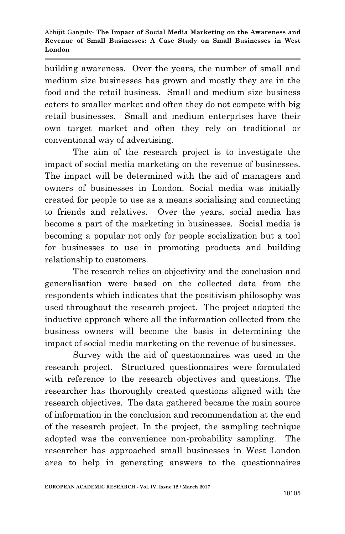building awareness. Over the years, the number of small and medium size businesses has grown and mostly they are in the food and the retail business. Small and medium size business caters to smaller market and often they do not compete with big retail businesses. Small and medium enterprises have their own target market and often they rely on traditional or conventional way of advertising.

The aim of the research project is to investigate the impact of social media marketing on the revenue of businesses. The impact will be determined with the aid of managers and owners of businesses in London. Social media was initially created for people to use as a means socialising and connecting to friends and relatives. Over the years, social media has become a part of the marketing in businesses. Social media is becoming a popular not only for people socialization but a tool for businesses to use in promoting products and building relationship to customers.

The research relies on objectivity and the conclusion and generalisation were based on the collected data from the respondents which indicates that the positivism philosophy was used throughout the research project. The project adopted the inductive approach where all the information collected from the business owners will become the basis in determining the impact of social media marketing on the revenue of businesses.

Survey with the aid of questionnaires was used in the research project. Structured questionnaires were formulated with reference to the research objectives and questions. The researcher has thoroughly created questions aligned with the research objectives. The data gathered became the main source of information in the conclusion and recommendation at the end of the research project. In the project, the sampling technique adopted was the convenience non-probability sampling. The researcher has approached small businesses in West London area to help in generating answers to the questionnaires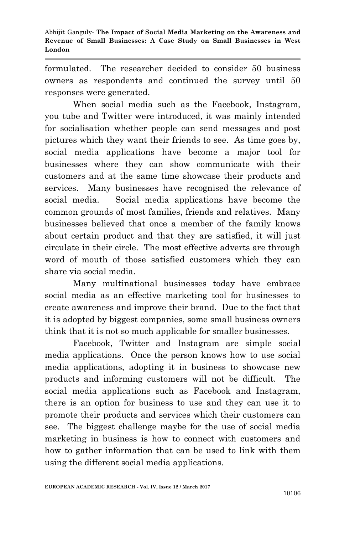formulated. The researcher decided to consider 50 business owners as respondents and continued the survey until 50 responses were generated.

When social media such as the Facebook, Instagram, you tube and Twitter were introduced, it was mainly intended for socialisation whether people can send messages and post pictures which they want their friends to see. As time goes by, social media applications have become a major tool for businesses where they can show communicate with their customers and at the same time showcase their products and services. Many businesses have recognised the relevance of social media. Social media applications have become the common grounds of most families, friends and relatives. Many businesses believed that once a member of the family knows about certain product and that they are satisfied, it will just circulate in their circle. The most effective adverts are through word of mouth of those satisfied customers which they can share via social media.

Many multinational businesses today have embrace social media as an effective marketing tool for businesses to create awareness and improve their brand. Due to the fact that it is adopted by biggest companies, some small business owners think that it is not so much applicable for smaller businesses.

Facebook, Twitter and Instagram are simple social media applications. Once the person knows how to use social media applications, adopting it in business to showcase new products and informing customers will not be difficult. The social media applications such as Facebook and Instagram, there is an option for business to use and they can use it to promote their products and services which their customers can see. The biggest challenge maybe for the use of social media marketing in business is how to connect with customers and how to gather information that can be used to link with them using the different social media applications.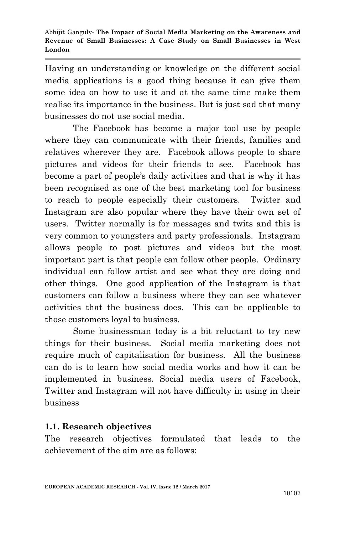Having an understanding or knowledge on the different social media applications is a good thing because it can give them some idea on how to use it and at the same time make them realise its importance in the business. But is just sad that many businesses do not use social media.

The Facebook has become a major tool use by people where they can communicate with their friends, families and relatives wherever they are. Facebook allows people to share pictures and videos for their friends to see. Facebook has become a part of people's daily activities and that is why it has been recognised as one of the best marketing tool for business to reach to people especially their customers. Twitter and Instagram are also popular where they have their own set of users. Twitter normally is for messages and twits and this is very common to youngsters and party professionals. Instagram allows people to post pictures and videos but the most important part is that people can follow other people. Ordinary individual can follow artist and see what they are doing and other things. One good application of the Instagram is that customers can follow a business where they can see whatever activities that the business does. This can be applicable to those customers loyal to business.

Some businessman today is a bit reluctant to try new things for their business. Social media marketing does not require much of capitalisation for business. All the business can do is to learn how social media works and how it can be implemented in business. Social media users of Facebook, Twitter and Instagram will not have difficulty in using in their business

#### **1.1. Research objectives**

The research objectives formulated that leads to the achievement of the aim are as follows: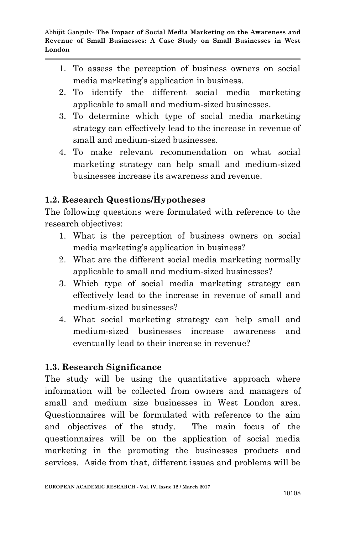- 1. To assess the perception of business owners on social media marketing's application in business.
- 2. To identify the different social media marketing applicable to small and medium-sized businesses.
- 3. To determine which type of social media marketing strategy can effectively lead to the increase in revenue of small and medium-sized businesses.
- 4. To make relevant recommendation on what social marketing strategy can help small and medium-sized businesses increase its awareness and revenue.

## **1.2. Research Questions/Hypotheses**

The following questions were formulated with reference to the research objectives:

- 1. What is the perception of business owners on social media marketing's application in business?
- 2. What are the different social media marketing normally applicable to small and medium-sized businesses?
- 3. Which type of social media marketing strategy can effectively lead to the increase in revenue of small and medium-sized businesses?
- 4. What social marketing strategy can help small and medium-sized businesses increase awareness and eventually lead to their increase in revenue?

### **1.3. Research Significance**

The study will be using the quantitative approach where information will be collected from owners and managers of small and medium size businesses in West London area. Questionnaires will be formulated with reference to the aim and objectives of the study. The main focus of the questionnaires will be on the application of social media marketing in the promoting the businesses products and services. Aside from that, different issues and problems will be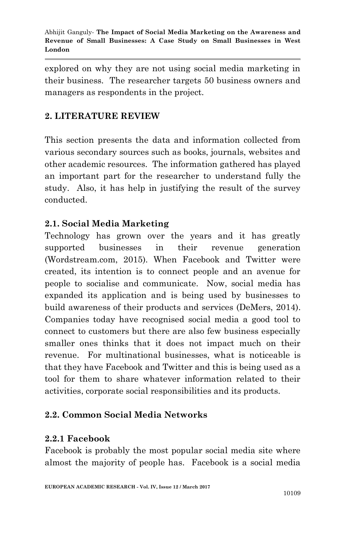explored on why they are not using social media marketing in their business. The researcher targets 50 business owners and managers as respondents in the project.

## **2. LITERATURE REVIEW**

This section presents the data and information collected from various secondary sources such as books, journals, websites and other academic resources. The information gathered has played an important part for the researcher to understand fully the study. Also, it has help in justifying the result of the survey conducted.

## **2.1. Social Media Marketing**

Technology has grown over the years and it has greatly supported businesses in their revenue generation (Wordstream.com, 2015). When Facebook and Twitter were created, its intention is to connect people and an avenue for people to socialise and communicate. Now, social media has expanded its application and is being used by businesses to build awareness of their products and services (DeMers, 2014). Companies today have recognised social media a good tool to connect to customers but there are also few business especially smaller ones thinks that it does not impact much on their revenue. For multinational businesses, what is noticeable is that they have Facebook and Twitter and this is being used as a tool for them to share whatever information related to their activities, corporate social responsibilities and its products.

### **2.2. Common Social Media Networks**

### **2.2.1 Facebook**

Facebook is probably the most popular social media site where almost the majority of people has. Facebook is a social media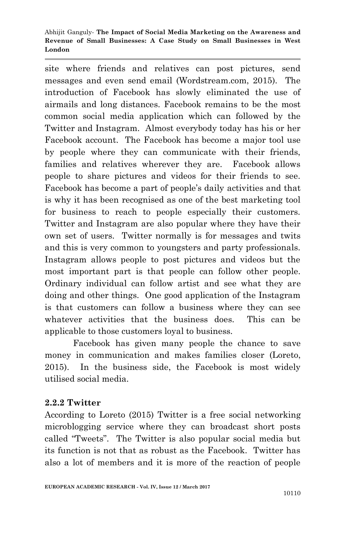site where friends and relatives can post pictures, send messages and even send email (Wordstream.com, 2015). The introduction of Facebook has slowly eliminated the use of airmails and long distances. Facebook remains to be the most common social media application which can followed by the Twitter and Instagram. Almost everybody today has his or her Facebook account. The Facebook has become a major tool use by people where they can communicate with their friends, families and relatives wherever they are. Facebook allows people to share pictures and videos for their friends to see. Facebook has become a part of people's daily activities and that is why it has been recognised as one of the best marketing tool for business to reach to people especially their customers. Twitter and Instagram are also popular where they have their own set of users. Twitter normally is for messages and twits and this is very common to youngsters and party professionals. Instagram allows people to post pictures and videos but the most important part is that people can follow other people. Ordinary individual can follow artist and see what they are doing and other things. One good application of the Instagram is that customers can follow a business where they can see whatever activities that the business does. This can be applicable to those customers loyal to business.

Facebook has given many people the chance to save money in communication and makes families closer (Loreto, 2015). In the business side, the Facebook is most widely utilised social media.

### **2.2.2 Twitter**

According to Loreto (2015) Twitter is a free social networking microblogging service where they can broadcast short posts called "Tweets". The Twitter is also popular social media but its function is not that as robust as the Facebook. Twitter has also a lot of members and it is more of the reaction of people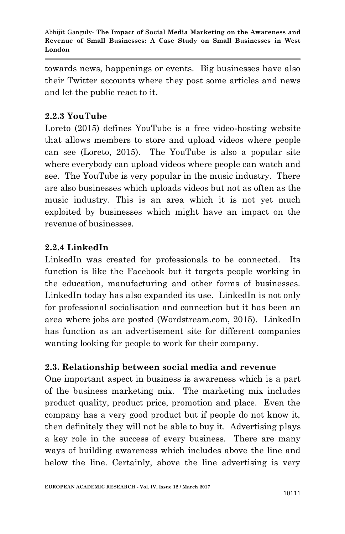towards news, happenings or events. Big businesses have also their Twitter accounts where they post some articles and news and let the public react to it.

## **2.2.3 YouTube**

Loreto (2015) defines YouTube is a free video-hosting website that allows members to store and upload videos where people can see (Loreto, 2015). The YouTube is also a popular site where everybody can upload videos where people can watch and see. The YouTube is very popular in the music industry. There are also businesses which uploads videos but not as often as the music industry. This is an area which it is not yet much exploited by businesses which might have an impact on the revenue of businesses.

### **2.2.4 LinkedIn**

LinkedIn was created for professionals to be connected. Its function is like the Facebook but it targets people working in the education, manufacturing and other forms of businesses. LinkedIn today has also expanded its use. LinkedIn is not only for professional socialisation and connection but it has been an area where jobs are posted (Wordstream.com, 2015). LinkedIn has function as an advertisement site for different companies wanting looking for people to work for their company.

### **2.3. Relationship between social media and revenue**

One important aspect in business is awareness which is a part of the business marketing mix. The marketing mix includes product quality, product price, promotion and place. Even the company has a very good product but if people do not know it, then definitely they will not be able to buy it. Advertising plays a key role in the success of every business. There are many ways of building awareness which includes above the line and below the line. Certainly, above the line advertising is very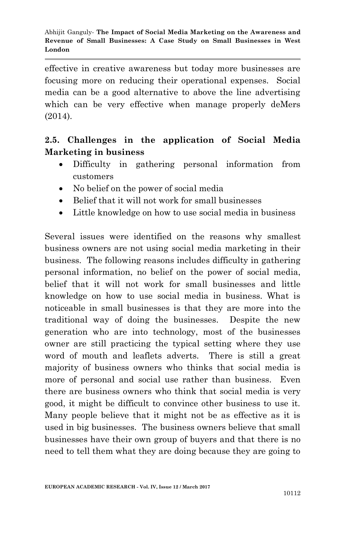effective in creative awareness but today more businesses are focusing more on reducing their operational expenses. Social media can be a good alternative to above the line advertising which can be very effective when manage properly deMers (2014).

## **2.5. Challenges in the application of Social Media Marketing in business**

- Difficulty in gathering personal information from customers
- No belief on the power of social media
- Belief that it will not work for small businesses
- Little knowledge on how to use social media in business

Several issues were identified on the reasons why smallest business owners are not using social media marketing in their business. The following reasons includes difficulty in gathering personal information, no belief on the power of social media, belief that it will not work for small businesses and little knowledge on how to use social media in business. What is noticeable in small businesses is that they are more into the traditional way of doing the businesses. Despite the new generation who are into technology, most of the businesses owner are still practicing the typical setting where they use word of mouth and leaflets adverts. There is still a great majority of business owners who thinks that social media is more of personal and social use rather than business. Even there are business owners who think that social media is very good, it might be difficult to convince other business to use it. Many people believe that it might not be as effective as it is used in big businesses. The business owners believe that small businesses have their own group of buyers and that there is no need to tell them what they are doing because they are going to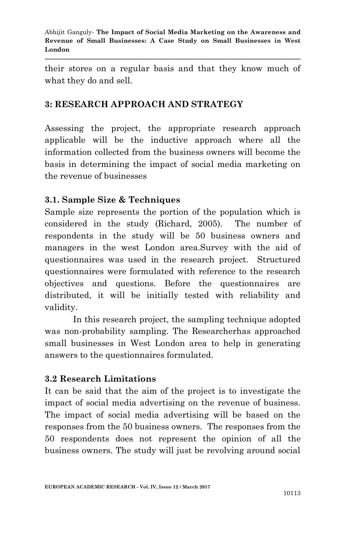their stores on a regular basis and that they know much of what they do and sell.

### **3: RESEARCH APPROACH AND STRATEGY**

Assessing the project, the appropriate research approach applicable will be the inductive approach where all the information collected from the business owners will become the basis in determining the impact of social media marketing on the revenue of businesses

## **3.1. Sample Size & Techniques**

Sample size represents the portion of the population which is considered in the study (Richard, 2005). The number of respondents in the study will be 50 business owners and managers in the west London area.Survey with the aid of questionnaires was used in the research project. Structured questionnaires were formulated with reference to the research objectives and questions. Before the questionnaires are distributed, it will be initially tested with reliability and validity.

In this research project, the sampling technique adopted was non-probability sampling. The Researcherhas approached small businesses in West London area to help in generating answers to the questionnaires formulated.

### **3.2 Research Limitations**

It can be said that the aim of the project is to investigate the impact of social media advertising on the revenue of business. The impact of social media advertising will be based on the responses from the 50 business owners. The responses from the 50 respondents does not represent the opinion of all the business owners. The study will just be revolving around social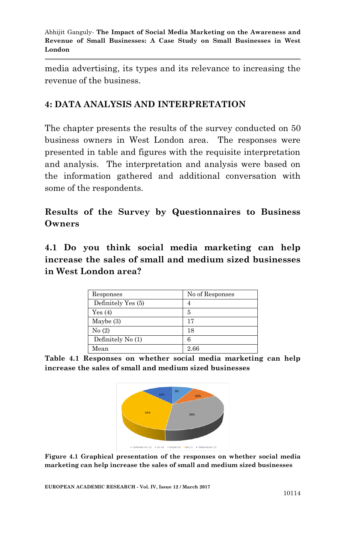media advertising, its types and its relevance to increasing the revenue of the business.

## **4: DATA ANALYSIS AND INTERPRETATION**

The chapter presents the results of the survey conducted on 50 business owners in West London area. The responses were presented in table and figures with the requisite interpretation and analysis. The interpretation and analysis were based on the information gathered and additional conversation with some of the respondents.

**Results of the Survey by Questionnaires to Business Owners**

**4.1 Do you think social media marketing can help increase the sales of small and medium sized businesses in West London area?**

| Responses          | No of Responses |
|--------------------|-----------------|
| Definitely Yes (5) |                 |
| Yes(4)             | 5               |
| Maybe $(3)$        | 17              |
| No(2)              | 18              |
| Definitely No (1)  | 6               |
| Mean               | 2.66            |

**Table 4.1 Responses on whether social media marketing can help increase the sales of small and medium sized businesses**



**Figure 4.1 Graphical presentation of the responses on whether social media marketing can help increase the sales of small and medium sized businesses**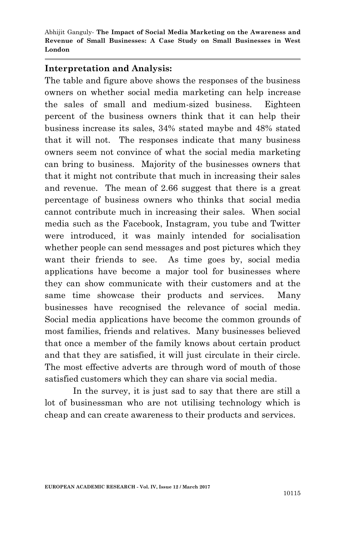#### **Interpretation and Analysis:**

The table and figure above shows the responses of the business owners on whether social media marketing can help increase the sales of small and medium-sized business. Eighteen percent of the business owners think that it can help their business increase its sales, 34% stated maybe and 48% stated that it will not. The responses indicate that many business owners seem not convince of what the social media marketing can bring to business. Majority of the businesses owners that that it might not contribute that much in increasing their sales and revenue. The mean of 2.66 suggest that there is a great percentage of business owners who thinks that social media cannot contribute much in increasing their sales. When social media such as the Facebook, Instagram, you tube and Twitter were introduced, it was mainly intended for socialisation whether people can send messages and post pictures which they want their friends to see. As time goes by, social media applications have become a major tool for businesses where they can show communicate with their customers and at the same time showcase their products and services. Many businesses have recognised the relevance of social media. Social media applications have become the common grounds of most families, friends and relatives. Many businesses believed that once a member of the family knows about certain product and that they are satisfied, it will just circulate in their circle. The most effective adverts are through word of mouth of those satisfied customers which they can share via social media.

In the survey, it is just sad to say that there are still a lot of businessman who are not utilising technology which is cheap and can create awareness to their products and services.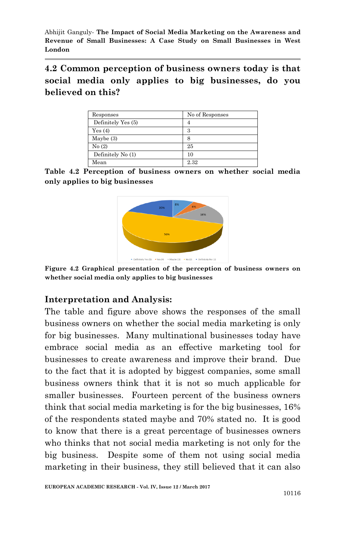**4.2 Common perception of business owners today is that social media only applies to big businesses, do you believed on this?**

| Responses          | No of Responses |
|--------------------|-----------------|
| Definitely Yes (5) |                 |
| Yes(4)             | З               |
| Maybe $(3)$        | 8               |
| No(2)              | 25              |
| Definitely No (1)  | 10              |
| Mean               | 2.32            |

**Table 4.2 Perception of business owners on whether social media only applies to big businesses**



**Figure 4.2 Graphical presentation of the perception of business owners on whether social media only applies to big businesses**

### **Interpretation and Analysis:**

The table and figure above shows the responses of the small business owners on whether the social media marketing is only for big businesses. Many multinational businesses today have embrace social media as an effective marketing tool for businesses to create awareness and improve their brand. Due to the fact that it is adopted by biggest companies, some small business owners think that it is not so much applicable for smaller businesses. Fourteen percent of the business owners think that social media marketing is for the big businesses, 16% of the respondents stated maybe and 70% stated no. It is good to know that there is a great percentage of businesses owners who thinks that not social media marketing is not only for the big business. Despite some of them not using social media marketing in their business, they still believed that it can also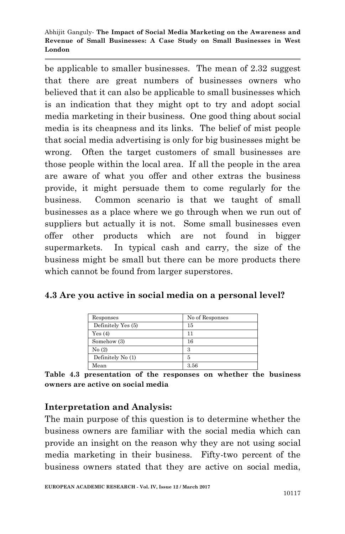be applicable to smaller businesses. The mean of 2.32 suggest that there are great numbers of businesses owners who believed that it can also be applicable to small businesses which is an indication that they might opt to try and adopt social media marketing in their business. One good thing about social media is its cheapness and its links. The belief of mist people that social media advertising is only for big businesses might be wrong. Often the target customers of small businesses are those people within the local area. If all the people in the area are aware of what you offer and other extras the business provide, it might persuade them to come regularly for the business. Common scenario is that we taught of small businesses as a place where we go through when we run out of suppliers but actually it is not. Some small businesses even offer other products which are not found in bigger supermarkets. In typical cash and carry, the size of the business might be small but there can be more products there which cannot be found from larger superstores.

### **4.3 Are you active in social media on a personal level?**

| Responses          | No of Responses |
|--------------------|-----------------|
| Definitely Yes (5) | 15              |
| Yes(4)             | 11              |
| Somehow (3)        | 16              |
| No(2)              | З               |
| Definitely No (1)  | 5               |
| Mean               | 3.56            |

**Table 4.3 presentation of the responses on whether the business owners are active on social media**

## **Interpretation and Analysis:**

The main purpose of this question is to determine whether the business owners are familiar with the social media which can provide an insight on the reason why they are not using social media marketing in their business. Fifty-two percent of the business owners stated that they are active on social media,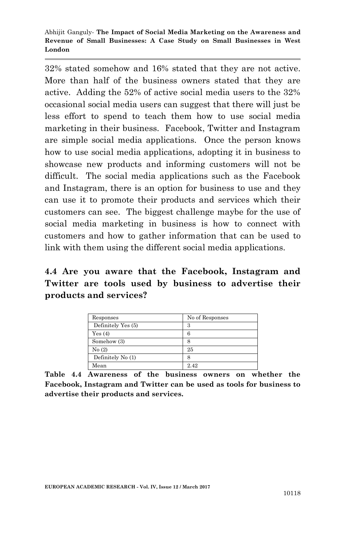32% stated somehow and 16% stated that they are not active. More than half of the business owners stated that they are active. Adding the 52% of active social media users to the 32% occasional social media users can suggest that there will just be less effort to spend to teach them how to use social media marketing in their business. Facebook, Twitter and Instagram are simple social media applications. Once the person knows how to use social media applications, adopting it in business to showcase new products and informing customers will not be difficult. The social media applications such as the Facebook and Instagram, there is an option for business to use and they can use it to promote their products and services which their customers can see. The biggest challenge maybe for the use of social media marketing in business is how to connect with customers and how to gather information that can be used to link with them using the different social media applications.

## **4.4 Are you aware that the Facebook, Instagram and Twitter are tools used by business to advertise their products and services?**

| Responses          | No of Responses |
|--------------------|-----------------|
| Definitely Yes (5) | З               |
| Yes(4)             | 6               |
| Somehow (3)        | 8               |
| No(2)              | 25              |
| Definitely No (1)  | 8               |
| Mean               | 2.42            |

**Table 4.4 Awareness of the business owners on whether the Facebook, Instagram and Twitter can be used as tools for business to advertise their products and services.**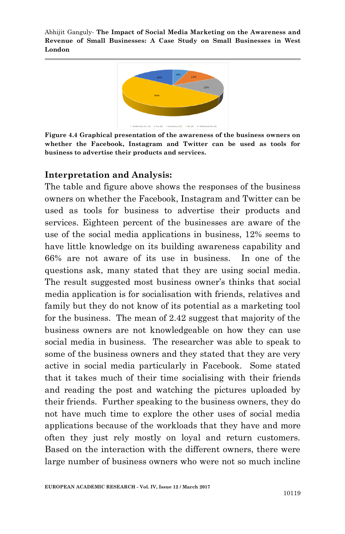

**Figure 4.4 Graphical presentation of the awareness of the business owners on whether the Facebook, Instagram and Twitter can be used as tools for business to advertise their products and services.**

#### **Interpretation and Analysis:**

The table and figure above shows the responses of the business owners on whether the Facebook, Instagram and Twitter can be used as tools for business to advertise their products and services. Eighteen percent of the businesses are aware of the use of the social media applications in business, 12% seems to have little knowledge on its building awareness capability and 66% are not aware of its use in business. In one of the questions ask, many stated that they are using social media. The result suggested most business owner's thinks that social media application is for socialisation with friends, relatives and family but they do not know of its potential as a marketing tool for the business. The mean of 2.42 suggest that majority of the business owners are not knowledgeable on how they can use social media in business. The researcher was able to speak to some of the business owners and they stated that they are very active in social media particularly in Facebook. Some stated that it takes much of their time socialising with their friends and reading the post and watching the pictures uploaded by their friends. Further speaking to the business owners, they do not have much time to explore the other uses of social media applications because of the workloads that they have and more often they just rely mostly on loyal and return customers. Based on the interaction with the different owners, there were large number of business owners who were not so much incline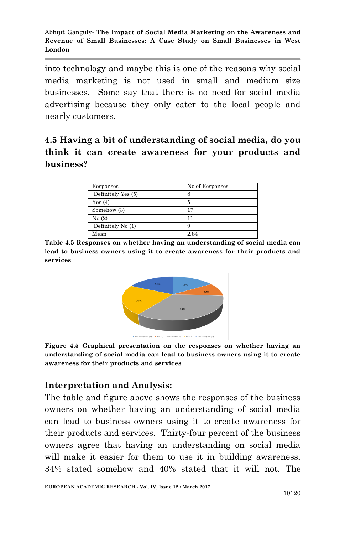into technology and maybe this is one of the reasons why social media marketing is not used in small and medium size businesses. Some say that there is no need for social media advertising because they only cater to the local people and nearly customers.

# **4.5 Having a bit of understanding of social media, do you think it can create awareness for your products and business?**

| Responses          | No of Responses |
|--------------------|-----------------|
| Definitely Yes (5) | 8               |
| Yes(4)             | 5               |
| Somehow (3)        | 17              |
| No(2)              | 11              |
| Definitely No (1)  | 9               |
| Mean               | 2.84            |

**Table 4.5 Responses on whether having an understanding of social media can lead to business owners using it to create awareness for their products and services**



**Figure 4.5 Graphical presentation on the responses on whether having an understanding of social media can lead to business owners using it to create awareness for their products and services**

## **Interpretation and Analysis:**

The table and figure above shows the responses of the business owners on whether having an understanding of social media can lead to business owners using it to create awareness for their products and services. Thirty-four percent of the business owners agree that having an understanding on social media will make it easier for them to use it in building awareness, 34% stated somehow and 40% stated that it will not. The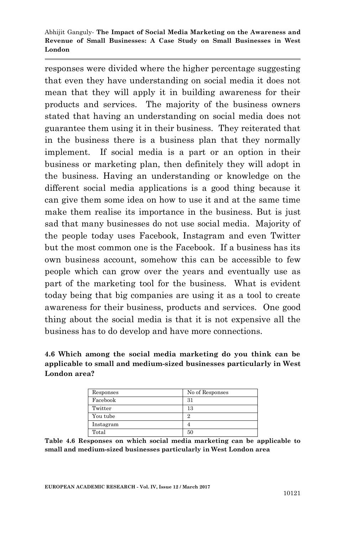responses were divided where the higher percentage suggesting that even they have understanding on social media it does not mean that they will apply it in building awareness for their products and services. The majority of the business owners stated that having an understanding on social media does not guarantee them using it in their business. They reiterated that in the business there is a business plan that they normally implement. If social media is a part or an option in their business or marketing plan, then definitely they will adopt in the business. Having an understanding or knowledge on the different social media applications is a good thing because it can give them some idea on how to use it and at the same time make them realise its importance in the business. But is just sad that many businesses do not use social media. Majority of the people today uses Facebook, Instagram and even Twitter but the most common one is the Facebook. If a business has its own business account, somehow this can be accessible to few people which can grow over the years and eventually use as part of the marketing tool for the business. What is evident today being that big companies are using it as a tool to create awareness for their business, products and services. One good thing about the social media is that it is not expensive all the business has to do develop and have more connections.

#### **4.6 Which among the social media marketing do you think can be applicable to small and medium-sized businesses particularly in West London area?**

| Responses | No of Responses |
|-----------|-----------------|
| Facebook  | 31              |
| Twitter   | 13              |
| You tube  | 9               |
| Instagram | 4               |
| Total     | 50              |

**Table 4.6 Responses on which social media marketing can be applicable to small and medium-sized businesses particularly in West London area**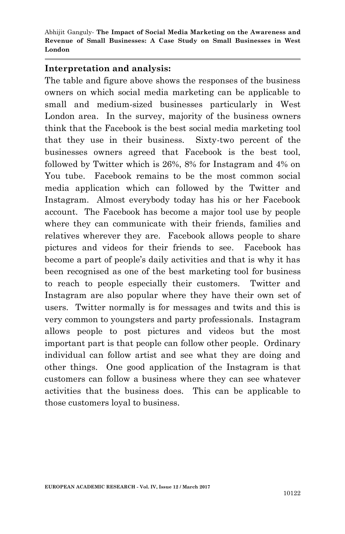#### **Interpretation and analysis:**

The table and figure above shows the responses of the business owners on which social media marketing can be applicable to small and medium-sized businesses particularly in West London area. In the survey, majority of the business owners think that the Facebook is the best social media marketing tool that they use in their business. Sixty-two percent of the businesses owners agreed that Facebook is the best tool, followed by Twitter which is 26%, 8% for Instagram and 4% on You tube. Facebook remains to be the most common social media application which can followed by the Twitter and Instagram. Almost everybody today has his or her Facebook account. The Facebook has become a major tool use by people where they can communicate with their friends, families and relatives wherever they are. Facebook allows people to share pictures and videos for their friends to see. Facebook has become a part of people's daily activities and that is why it has been recognised as one of the best marketing tool for business to reach to people especially their customers. Twitter and Instagram are also popular where they have their own set of users. Twitter normally is for messages and twits and this is very common to youngsters and party professionals. Instagram allows people to post pictures and videos but the most important part is that people can follow other people. Ordinary individual can follow artist and see what they are doing and other things. One good application of the Instagram is that customers can follow a business where they can see whatever activities that the business does. This can be applicable to those customers loyal to business.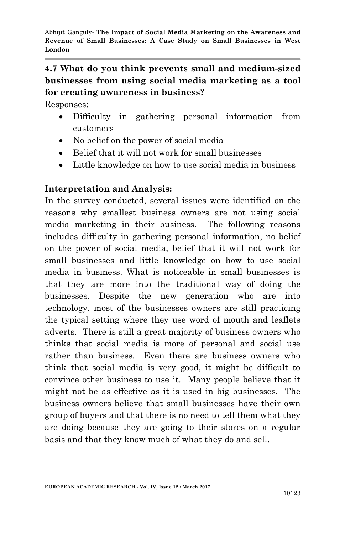# **4.7 What do you think prevents small and medium-sized businesses from using social media marketing as a tool for creating awareness in business?**

Responses:

- Difficulty in gathering personal information from customers
- No belief on the power of social media
- Belief that it will not work for small businesses
- Little knowledge on how to use social media in business

## **Interpretation and Analysis:**

In the survey conducted, several issues were identified on the reasons why smallest business owners are not using social media marketing in their business. The following reasons includes difficulty in gathering personal information, no belief on the power of social media, belief that it will not work for small businesses and little knowledge on how to use social media in business. What is noticeable in small businesses is that they are more into the traditional way of doing the businesses. Despite the new generation who are into technology, most of the businesses owners are still practicing the typical setting where they use word of mouth and leaflets adverts. There is still a great majority of business owners who thinks that social media is more of personal and social use rather than business. Even there are business owners who think that social media is very good, it might be difficult to convince other business to use it. Many people believe that it might not be as effective as it is used in big businesses. The business owners believe that small businesses have their own group of buyers and that there is no need to tell them what they are doing because they are going to their stores on a regular basis and that they know much of what they do and sell.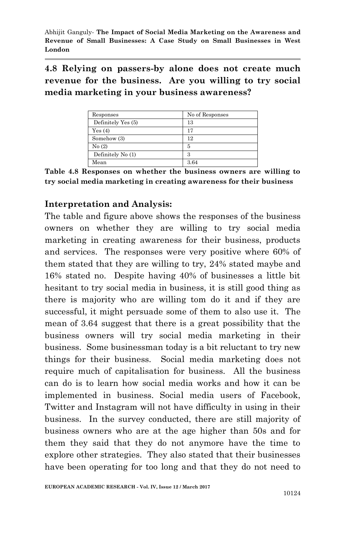**4.8 Relying on passers-by alone does not create much revenue for the business. Are you willing to try social media marketing in your business awareness?**

| Responses          | No of Responses |
|--------------------|-----------------|
| Definitely Yes (5) | 13              |
| Yes(4)             | 17              |
| Somehow (3)        | 12              |
| No(2)              | 5               |
| Definitely No (1)  | З               |
| Mean               | 3.64            |

**Table 4.8 Responses on whether the business owners are willing to try social media marketing in creating awareness for their business**

## **Interpretation and Analysis:**

The table and figure above shows the responses of the business owners on whether they are willing to try social media marketing in creating awareness for their business, products and services. The responses were very positive where 60% of them stated that they are willing to try, 24% stated maybe and 16% stated no. Despite having 40% of businesses a little bit hesitant to try social media in business, it is still good thing as there is majority who are willing tom do it and if they are successful, it might persuade some of them to also use it. The mean of 3.64 suggest that there is a great possibility that the business owners will try social media marketing in their business. Some businessman today is a bit reluctant to try new things for their business. Social media marketing does not require much of capitalisation for business. All the business can do is to learn how social media works and how it can be implemented in business. Social media users of Facebook, Twitter and Instagram will not have difficulty in using in their business. In the survey conducted, there are still majority of business owners who are at the age higher than 50s and for them they said that they do not anymore have the time to explore other strategies. They also stated that their businesses have been operating for too long and that they do not need to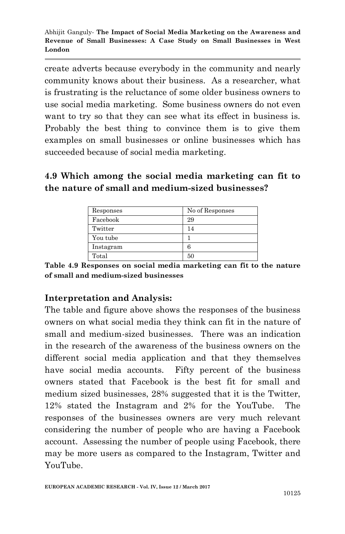create adverts because everybody in the community and nearly community knows about their business. As a researcher, what is frustrating is the reluctance of some older business owners to use social media marketing. Some business owners do not even want to try so that they can see what its effect in business is. Probably the best thing to convince them is to give them examples on small businesses or online businesses which has succeeded because of social media marketing.

# **4.9 Which among the social media marketing can fit to the nature of small and medium-sized businesses?**

| Responses | No of Responses |
|-----------|-----------------|
| Facebook  | 29              |
| Twitter   | 14              |
| You tube  |                 |
| Instagram | 6               |
| Total     | 50              |

**Table 4.9 Responses on social media marketing can fit to the nature of small and medium-sized businesses**

## **Interpretation and Analysis:**

The table and figure above shows the responses of the business owners on what social media they think can fit in the nature of small and medium-sized businesses. There was an indication in the research of the awareness of the business owners on the different social media application and that they themselves have social media accounts. Fifty percent of the business owners stated that Facebook is the best fit for small and medium sized businesses, 28% suggested that it is the Twitter, 12% stated the Instagram and 2% for the YouTube. The responses of the businesses owners are very much relevant considering the number of people who are having a Facebook account. Assessing the number of people using Facebook, there may be more users as compared to the Instagram, Twitter and YouTube.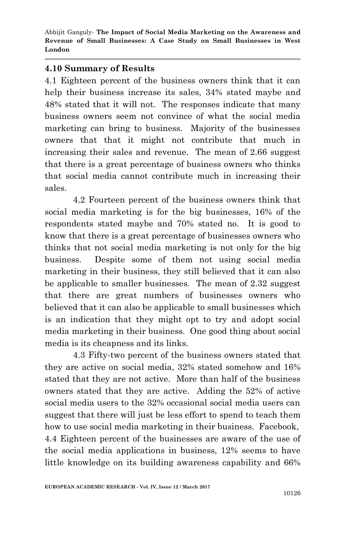### **4.10 Summary of Results**

4.1 Eighteen percent of the business owners think that it can help their business increase its sales, 34% stated maybe and 48% stated that it will not. The responses indicate that many business owners seem not convince of what the social media marketing can bring to business. Majority of the businesses owners that that it might not contribute that much in increasing their sales and revenue. The mean of 2.66 suggest that there is a great percentage of business owners who thinks that social media cannot contribute much in increasing their sales.

4.2 Fourteen percent of the business owners think that social media marketing is for the big businesses, 16% of the respondents stated maybe and 70% stated no. It is good to know that there is a great percentage of businesses owners who thinks that not social media marketing is not only for the big business. Despite some of them not using social media marketing in their business, they still believed that it can also be applicable to smaller businesses. The mean of 2.32 suggest that there are great numbers of businesses owners who believed that it can also be applicable to small businesses which is an indication that they might opt to try and adopt social media marketing in their business. One good thing about social media is its cheapness and its links.

4.3 Fifty-two percent of the business owners stated that they are active on social media, 32% stated somehow and 16% stated that they are not active. More than half of the business owners stated that they are active. Adding the 52% of active social media users to the 32% occasional social media users can suggest that there will just be less effort to spend to teach them how to use social media marketing in their business. Facebook, 4.4 Eighteen percent of the businesses are aware of the use of the social media applications in business, 12% seems to have little knowledge on its building awareness capability and 66%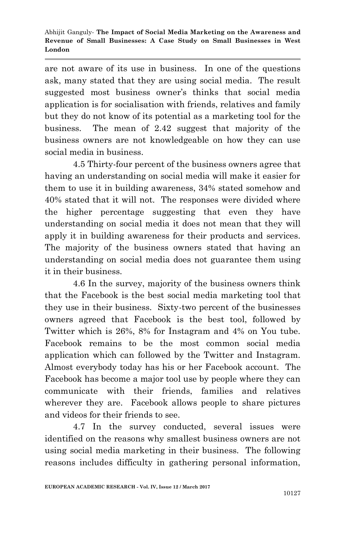are not aware of its use in business. In one of the questions ask, many stated that they are using social media. The result suggested most business owner's thinks that social media application is for socialisation with friends, relatives and family but they do not know of its potential as a marketing tool for the business. The mean of 2.42 suggest that majority of the business owners are not knowledgeable on how they can use social media in business.

4.5 Thirty-four percent of the business owners agree that having an understanding on social media will make it easier for them to use it in building awareness, 34% stated somehow and 40% stated that it will not. The responses were divided where the higher percentage suggesting that even they have understanding on social media it does not mean that they will apply it in building awareness for their products and services. The majority of the business owners stated that having an understanding on social media does not guarantee them using it in their business.

4.6 In the survey, majority of the business owners think that the Facebook is the best social media marketing tool that they use in their business. Sixty-two percent of the businesses owners agreed that Facebook is the best tool, followed by Twitter which is 26%, 8% for Instagram and 4% on You tube. Facebook remains to be the most common social media application which can followed by the Twitter and Instagram. Almost everybody today has his or her Facebook account. The Facebook has become a major tool use by people where they can communicate with their friends, families and relatives wherever they are. Facebook allows people to share pictures and videos for their friends to see.

4.7 In the survey conducted, several issues were identified on the reasons why smallest business owners are not using social media marketing in their business. The following reasons includes difficulty in gathering personal information,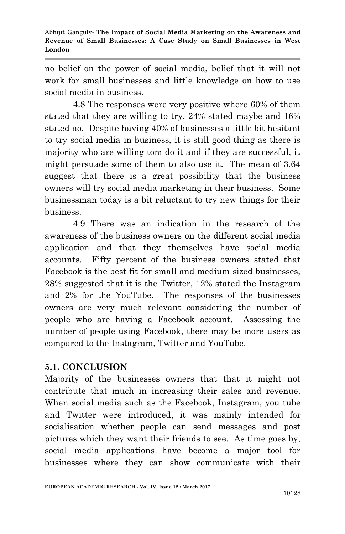no belief on the power of social media, belief that it will not work for small businesses and little knowledge on how to use social media in business.

4.8 The responses were very positive where 60% of them stated that they are willing to try, 24% stated maybe and 16% stated no. Despite having 40% of businesses a little bit hesitant to try social media in business, it is still good thing as there is majority who are willing tom do it and if they are successful, it might persuade some of them to also use it. The mean of 3.64 suggest that there is a great possibility that the business owners will try social media marketing in their business. Some businessman today is a bit reluctant to try new things for their business.

4.9 There was an indication in the research of the awareness of the business owners on the different social media application and that they themselves have social media accounts. Fifty percent of the business owners stated that Facebook is the best fit for small and medium sized businesses, 28% suggested that it is the Twitter, 12% stated the Instagram and 2% for the YouTube. The responses of the businesses owners are very much relevant considering the number of people who are having a Facebook account. Assessing the number of people using Facebook, there may be more users as compared to the Instagram, Twitter and YouTube.

## **5.1. CONCLUSION**

Majority of the businesses owners that that it might not contribute that much in increasing their sales and revenue. When social media such as the Facebook, Instagram, you tube and Twitter were introduced, it was mainly intended for socialisation whether people can send messages and post pictures which they want their friends to see. As time goes by, social media applications have become a major tool for businesses where they can show communicate with their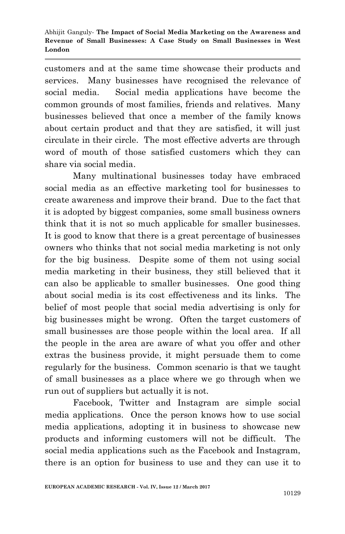customers and at the same time showcase their products and services. Many businesses have recognised the relevance of social media. Social media applications have become the common grounds of most families, friends and relatives. Many businesses believed that once a member of the family knows about certain product and that they are satisfied, it will just circulate in their circle. The most effective adverts are through word of mouth of those satisfied customers which they can share via social media.

Many multinational businesses today have embraced social media as an effective marketing tool for businesses to create awareness and improve their brand. Due to the fact that it is adopted by biggest companies, some small business owners think that it is not so much applicable for smaller businesses. It is good to know that there is a great percentage of businesses owners who thinks that not social media marketing is not only for the big business. Despite some of them not using social media marketing in their business, they still believed that it can also be applicable to smaller businesses. One good thing about social media is its cost effectiveness and its links. The belief of most people that social media advertising is only for big businesses might be wrong. Often the target customers of small businesses are those people within the local area. If all the people in the area are aware of what you offer and other extras the business provide, it might persuade them to come regularly for the business. Common scenario is that we taught of small businesses as a place where we go through when we run out of suppliers but actually it is not.

Facebook, Twitter and Instagram are simple social media applications. Once the person knows how to use social media applications, adopting it in business to showcase new products and informing customers will not be difficult. The social media applications such as the Facebook and Instagram, there is an option for business to use and they can use it to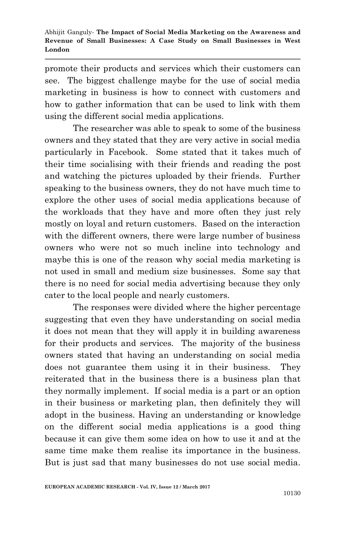promote their products and services which their customers can see. The biggest challenge maybe for the use of social media marketing in business is how to connect with customers and how to gather information that can be used to link with them using the different social media applications.

The researcher was able to speak to some of the business owners and they stated that they are very active in social media particularly in Facebook. Some stated that it takes much of their time socialising with their friends and reading the post and watching the pictures uploaded by their friends. Further speaking to the business owners, they do not have much time to explore the other uses of social media applications because of the workloads that they have and more often they just rely mostly on loyal and return customers. Based on the interaction with the different owners, there were large number of business owners who were not so much incline into technology and maybe this is one of the reason why social media marketing is not used in small and medium size businesses. Some say that there is no need for social media advertising because they only cater to the local people and nearly customers.

The responses were divided where the higher percentage suggesting that even they have understanding on social media it does not mean that they will apply it in building awareness for their products and services. The majority of the business owners stated that having an understanding on social media does not guarantee them using it in their business. They reiterated that in the business there is a business plan that they normally implement. If social media is a part or an option in their business or marketing plan, then definitely they will adopt in the business. Having an understanding or knowledge on the different social media applications is a good thing because it can give them some idea on how to use it and at the same time make them realise its importance in the business. But is just sad that many businesses do not use social media.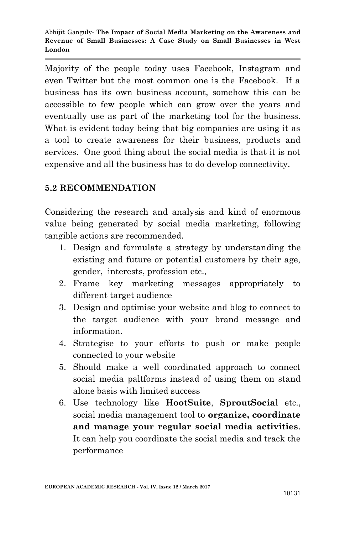Majority of the people today uses Facebook, Instagram and even Twitter but the most common one is the Facebook. If a business has its own business account, somehow this can be accessible to few people which can grow over the years and eventually use as part of the marketing tool for the business. What is evident today being that big companies are using it as a tool to create awareness for their business, products and services. One good thing about the social media is that it is not expensive and all the business has to do develop connectivity.

## **5.2 RECOMMENDATION**

Considering the research and analysis and kind of enormous value being generated by social media marketing, following tangible actions are recommended.

- 1. Design and formulate a strategy by understanding the existing and future or potential customers by their age, gender, interests, profession etc.,
- 2. Frame key marketing messages appropriately to different target audience
- 3. Design and optimise your website and blog to connect to the target audience with your brand message and information.
- 4. Strategise to your efforts to push or make people connected to your website
- 5. Should make a well coordinated approach to connect social media paltforms instead of using them on stand alone basis with limited success
- 6. Use technology like **HootSuite**, **SproutSocia**l etc., social media management tool to **organize, coordinate and manage your regular social media activities**. It can help you coordinate the social media and track the performance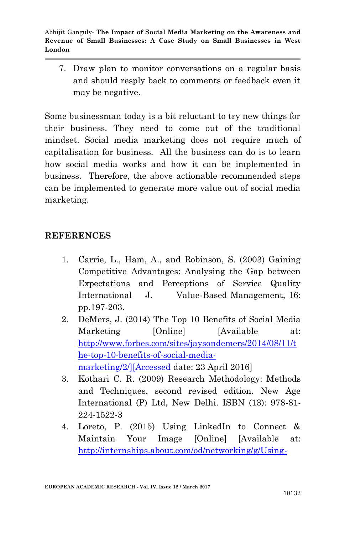7. Draw plan to monitor conversations on a regular basis and should resply back to comments or feedback even it may be negative.

Some businessman today is a bit reluctant to try new things for their business. They need to come out of the traditional mindset. Social media marketing does not require much of capitalisation for business. All the business can do is to learn how social media works and how it can be implemented in business. Therefore, the above actionable recommended steps can be implemented to generate more value out of social media marketing.

### **REFERENCES**

- 1. Carrie, L., Ham, A., and Robinson, S. (2003) Gaining Competitive Advantages: Analysing the Gap between Expectations and Perceptions of Service Quality International J. Value-Based Management, 16: pp.197-203.
- 2. DeMers, J. (2014) The Top 10 Benefits of Social Media Marketing [Online] [Available at: [http://www.forbes.com/sites/jaysondemers/2014/08/11/t](http://internships.about.com/od/networking/g/Using-Linkedin-To-Connect-And-Maintain-Your-Image.htm%5d%5bAccessed) [he-top-10-benefits-of-social-media](http://internships.about.com/od/networking/g/Using-Linkedin-To-Connect-And-Maintain-Your-Image.htm%5d%5bAccessed)[marketing/2/\]\[Accessed](http://internships.about.com/od/networking/g/Using-Linkedin-To-Connect-And-Maintain-Your-Image.htm%5d%5bAccessed) date: 23 April 2016]
- 3. Kothari C. R. (2009) Research Methodology: Methods and Techniques, second revised edition. New Age International (P) Ltd, New Delhi. ISBN (13): 978-81- 224-1522-3
- 4. Loreto, P. (2015) Using LinkedIn to Connect & Maintain Your Image [Online] [Available at: [http://internships.about.com/od/networking/g/Using-](http://internships.about.com/od/networking/g/Using-Linkedin-To-Connect-And-Maintain-Your-Image.htm%5d%5bAccessed)